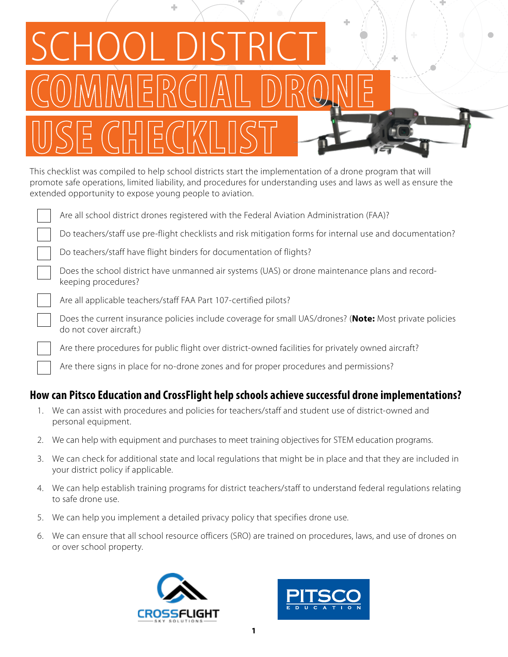| SCHOOL DISTRICT  |  |
|------------------|--|
| COMMERCIAL DRONE |  |
| USE CHECKLIST    |  |

This checklist was compiled to help school districts start the implementation of a drone program that will promote safe operations, limited liability, and procedures for understanding uses and laws as well as ensure the extended opportunity to expose young people to aviation.

Are all school district drones registered with the Federal Aviation Administration (FAA)?

Do teachers/staff use pre-flight checklists and risk mitigation forms for internal use and documentation?

÷

Do teachers/staff have flight binders for documentation of flights?

Does the school district have unmanned air systems (UAS) or drone maintenance plans and recordkeeping procedures?

Are all applicable teachers/staff FAA Part 107-certified pilots?

Does the current insurance policies include coverage for small UAS/drones? (**Note:** Most private policies do not cover aircraft.)

Are there procedures for public flight over district-owned facilities for privately owned aircraft?

Are there signs in place for no-drone zones and for proper procedures and permissions?

# **How can Pitsco Education and CrossFlight help schools achieve successful drone implementations?**

- 1. We can assist with procedures and policies for teachers/staff and student use of district-owned and personal equipment.
- 2. We can help with equipment and purchases to meet training objectives for STEM education programs.
- 3. We can check for additional state and local regulations that might be in place and that they are included in your district policy if applicable.
- 4. We can help establish training programs for district teachers/staff to understand federal regulations relating to safe drone use.
- 5. We can help you implement a detailed privacy policy that specifies drone use.
- 6. We can ensure that all school resource officers (SRO) are trained on procedures, laws, and use of drones on or over school property.



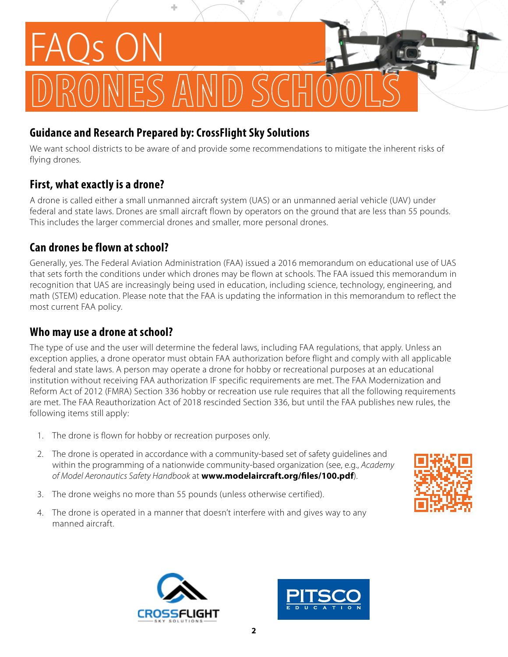

#### **Guidance and Research Prepared by: CrossFlight Sky Solutions**

We want school districts to be aware of and provide some recommendations to mitigate the inherent risks of flying drones.

#### **First, what exactly is a drone?**

A drone is called either a small unmanned aircraft system (UAS) or an unmanned aerial vehicle (UAV) under federal and state laws. Drones are small aircraft flown by operators on the ground that are less than 55 pounds. This includes the larger commercial drones and smaller, more personal drones.

# **Can drones be flown at school?**

Generally, yes. The Federal Aviation Administration (FAA) issued a 2016 memorandum on educational use of UAS that sets forth the conditions under which drones may be flown at schools. The FAA issued this memorandum in recognition that UAS are increasingly being used in education, including science, technology, engineering, and math (STEM) education. Please note that the FAA is updating the information in this memorandum to reflect the most current FAA policy.

#### **Who may use a drone at school?**

The type of use and the user will determine the federal laws, including FAA regulations, that apply. Unless an exception applies, a drone operator must obtain FAA authorization before flight and comply with all applicable federal and state laws. A person may operate a drone for hobby or recreational purposes at an educational institution without receiving FAA authorization IF specific requirements are met. The FAA Modernization and Reform Act of 2012 (FMRA) Section 336 hobby or recreation use rule requires that all the following requirements are met. The FAA Reauthorization Act of 2018 rescinded Section 336, but until the FAA publishes new rules, the following items still apply:

- 1. The drone is flown for hobby or recreation purposes only.
- 2. The drone is operated in accordance with a community-based set of safety guidelines and within the programming of a nationwide community-based organization (see, e.g., *Academy of Model Aeronautics Safety Handbook* at **www.modelaircraft.org/files/100.pdf**).
- 3. The drone weighs no more than 55 pounds (unless otherwise certified).
- 4. The drone is operated in a manner that doesn't interfere with and gives way to any manned aircraft.





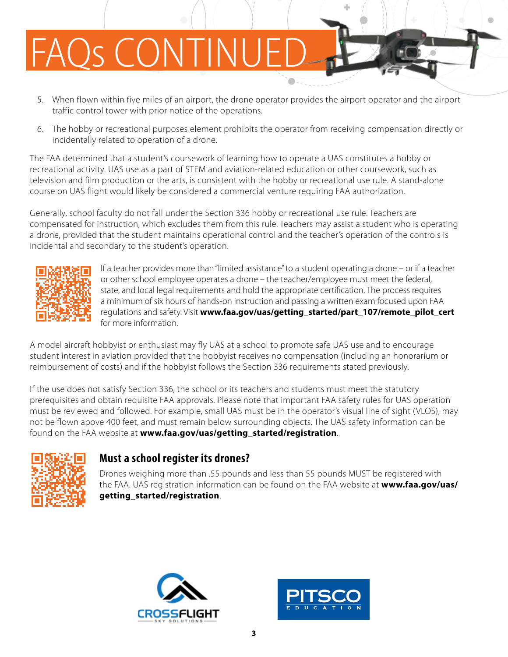# OS CONTIN

- 5. When flown within five miles of an airport, the drone operator provides the airport operator and the airport traffic control tower with prior notice of the operations.
- 6. The hobby or recreational purposes element prohibits the operator from receiving compensation directly or incidentally related to operation of a drone.

The FAA determined that a student's coursework of learning how to operate a UAS constitutes a hobby or recreational activity. UAS use as a part of STEM and aviation-related education or other coursework, such as television and film production or the arts, is consistent with the hobby or recreational use rule. A stand-alone course on UAS flight would likely be considered a commercial venture requiring FAA authorization.

Generally, school faculty do not fall under the Section 336 hobby or recreational use rule. Teachers are compensated for instruction, which excludes them from this rule. Teachers may assist a student who is operating a drone, provided that the student maintains operational control and the teacher's operation of the controls is incidental and secondary to the student's operation.



If a teacher provides more than "limited assistance" to a student operating a drone – or if a teacher or other school employee operates a drone – the teacher/employee must meet the federal, state, and local legal requirements and hold the appropriate certification. The process requires a minimum of six hours of hands-on instruction and passing a written exam focused upon FAA regulations and safety. Visit **www.faa.gov/uas/getting\_started/part\_107/remote\_pilot\_cert**  for more information.

A model aircraft hobbyist or enthusiast may fly UAS at a school to promote safe UAS use and to encourage student interest in aviation provided that the hobbyist receives no compensation (including an honorarium or reimbursement of costs) and if the hobbyist follows the Section 336 requirements stated previously.

If the use does not satisfy Section 336, the school or its teachers and students must meet the statutory prerequisites and obtain requisite FAA approvals. Please note that important FAA safety rules for UAS operation must be reviewed and followed. For example, small UAS must be in the operator's visual line of sight (VLOS), may not be flown above 400 feet, and must remain below surrounding objects. The UAS safety information can be found on the FAA website at **www.faa.gov/uas/getting\_started/registration**.



#### **Must a school register its drones?**

Drones weighing more than .55 pounds and less than 55 pounds MUST be registered with the FAA. UAS registration information can be found on the FAA website at **www.faa.gov/uas/ getting\_started/registration**.